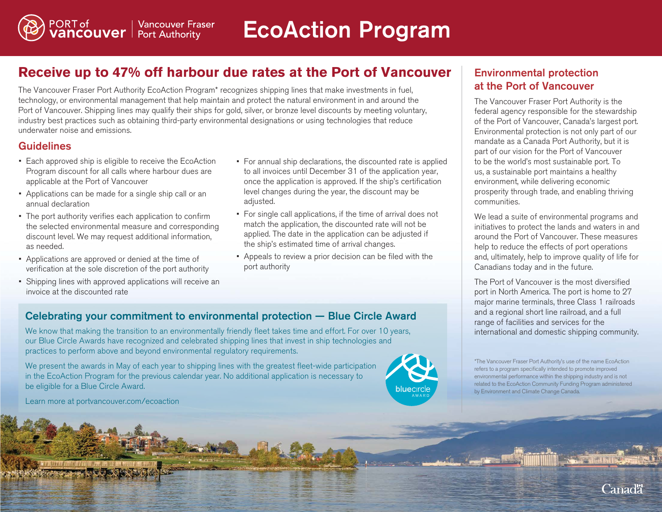# **Receive up to 47% off harbour due rates at the Port of Vancouver**

The Vancouver Fraser Port Authority EcoAction Program\* recognizes shipping lines that make investments in fuel, technology, or environmental management that help maintain and protect the natural environment in and around the Port of Vancouver. Shipping lines may qualify their ships for gold, silver, or bronze level discounts by meeting voluntary, industry best practices such as obtaining third-party environmental designations or using technologies that reduce underwater noise and emissions.

## **Guidelines**

• Each approved ship is eligible to receive the EcoAction Program discount for all calls where harbour dues are applicable at the Port of Vancouver

PORT of Vancouver Fras<br>**VANCOUVE I** Port Authority

**Vancouver Fraser** 

- Applications can be made for a single ship call or an annual declaration
- The port authority verifies each application to confirm the selected environmental measure and corresponding discount level. We may request additional information, as needed.
- Applications are approved or denied at the time of verification at the sole discretion of the port authority
- Shipping lines with approved applications will receive an invoice at the discounted rate
- For annual ship declarations, the discounted rate is applied to all invoices until December 31 of the application year, once the application is approved. If the ship's certification level changes during the year, the discount may be adjusted.
- For single call applications, if the time of arrival does not match the application, the discounted rate will not be applied. The date in the application can be adjusted if the ship's estimated time of arrival changes.
- Appeals to review a prior decision can be filed with the port authority

## Celebrating your commitment to environmental protection — Blue Circle Award

We know that making the transition to an environmentally friendly fleet takes time and effort. For over 10 years, our Blue Circle Awards have recognized and celebrated shipping lines that invest in ship technologies and practices to perform above and beyond environmental regulatory requirements.

We present the awards in May of each year to shipping lines with the greatest fleet-wide participation in the EcoAction Program for the previous calendar year. No additional application is necessary to be eligible for a Blue Circle Award.



## Environmental protection at the Port of Vancouver

The Vancouver Fraser Port Authority is the federal agency responsible for the stewardship of the Port of Vancouver, Canada's largest port. Environmental protection is not only part of our mandate as a Canada Port Authority, but it is part of our vision for the Port of Vancouver to be the world's most sustainable port. To us, a sustainable port maintains a healthy environment, while delivering economic prosperity through trade, and enabling thriving communities.

We lead a suite of environmental programs and initiatives to protect the lands and waters in and around the Port of Vancouver. These measures help to reduce the effects of port operations and, ultimately, help to improve quality of life for Canadians today and in the future.

The Port of Vancouver is the most diversified port in North America. The port is home to 27 major marine terminals, three Class 1 railroads and a regional short line railroad, and a full range of facilities and services for the international and domestic shipping community.

\*The Vancouver Fraser Port Authority's use of the name EcoAction refers to a program specifically intended to promote improved environmental performance within the shipping industry and is not related to the EcoAction Community Funding Program administered by Environment and Climate Change Canada.

Learn more at portvancouver.com/ecoaction